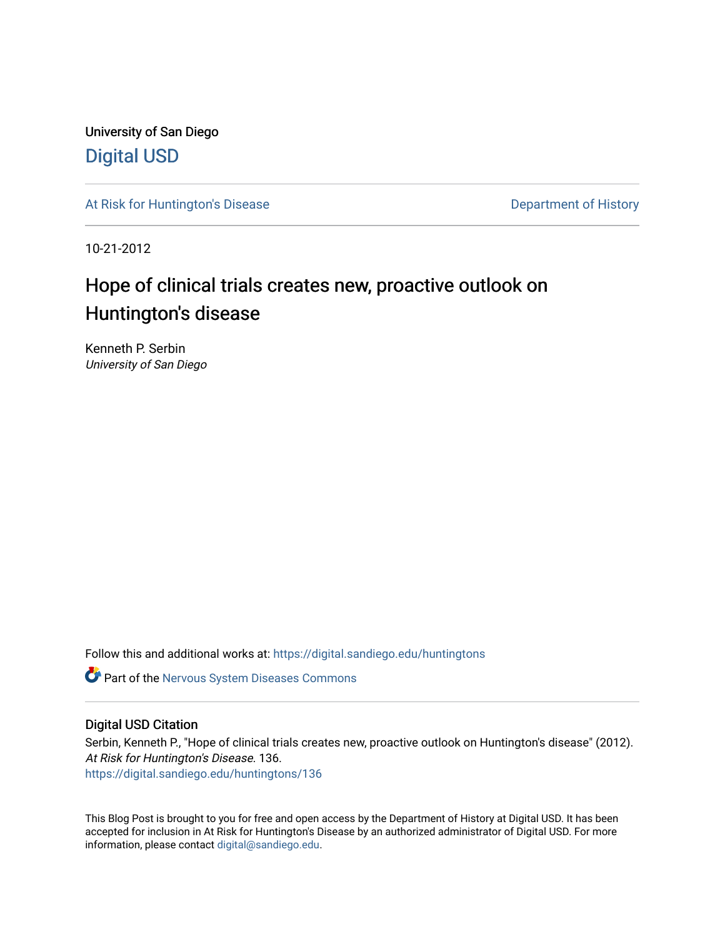University of San Diego [Digital USD](https://digital.sandiego.edu/)

[At Risk for Huntington's Disease](https://digital.sandiego.edu/huntingtons) **Department of History** Department of History

10-21-2012

# Hope of clinical trials creates new, proactive outlook on Huntington's disease

Kenneth P. Serbin University of San Diego

Follow this and additional works at: [https://digital.sandiego.edu/huntingtons](https://digital.sandiego.edu/huntingtons?utm_source=digital.sandiego.edu%2Fhuntingtons%2F136&utm_medium=PDF&utm_campaign=PDFCoverPages)

**C** Part of the [Nervous System Diseases Commons](http://network.bepress.com/hgg/discipline/928?utm_source=digital.sandiego.edu%2Fhuntingtons%2F136&utm_medium=PDF&utm_campaign=PDFCoverPages)

## Digital USD Citation

Serbin, Kenneth P., "Hope of clinical trials creates new, proactive outlook on Huntington's disease" (2012). At Risk for Huntington's Disease. 136. [https://digital.sandiego.edu/huntingtons/136](https://digital.sandiego.edu/huntingtons/136?utm_source=digital.sandiego.edu%2Fhuntingtons%2F136&utm_medium=PDF&utm_campaign=PDFCoverPages)

This Blog Post is brought to you for free and open access by the Department of History at Digital USD. It has been accepted for inclusion in At Risk for Huntington's Disease by an authorized administrator of Digital USD. For more information, please contact [digital@sandiego.edu.](mailto:digital@sandiego.edu)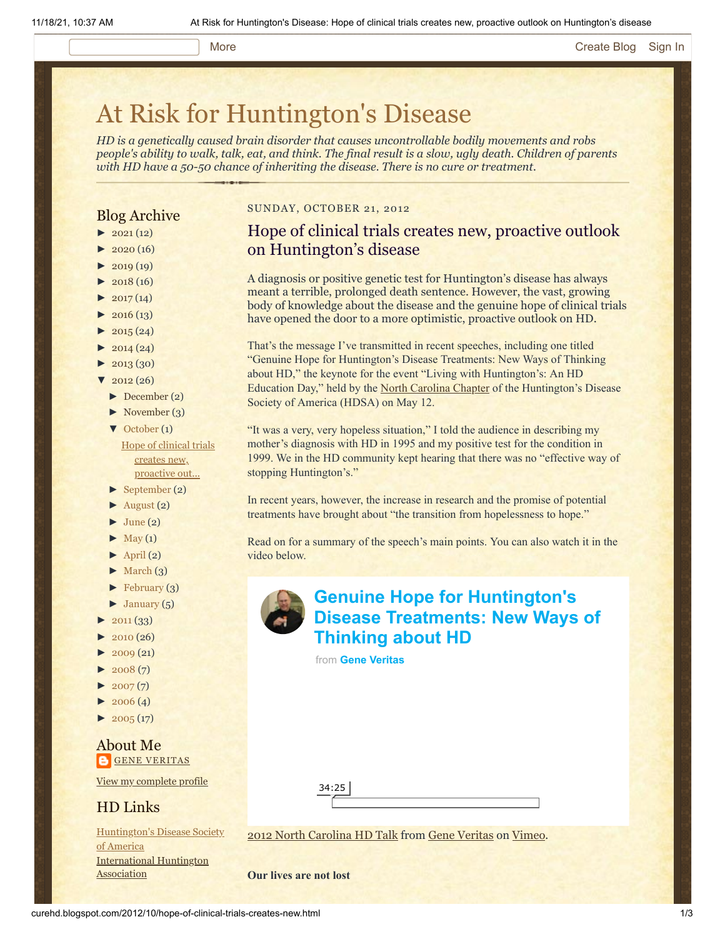#### More **[Create Blog](https://www.blogger.com/home#create) [Sign In](https://www.blogger.com/)**

# [At Risk for Huntington's Disease](http://curehd.blogspot.com/)

*HD is a genetically caused brain disorder that causes uncontrollable bodily movements and robs people's ability to walk, talk, eat, and think. The final result is a slow, ugly death. Children of parents with HD have a 50-50 chance of inheriting the disease. There is no cure or treatment.*

## Blog Archive

- $\blacktriangleright$  [2021](http://curehd.blogspot.com/2021/)(12)
- $2020(16)$  $2020(16)$
- $2019(19)$  $2019(19)$
- $2018(16)$  $2018(16)$
- $2017(14)$  $2017(14)$
- $2016(13)$  $2016(13)$
- $\blacktriangleright$  [2015](http://curehd.blogspot.com/2015/) (24)
- $-2014(24)$  $-2014(24)$  $-2014(24)$
- $2013(30)$  $2013(30)$
- $2012(26)$  $2012(26)$ 
	- [►](javascript:void(0)) [December](http://curehd.blogspot.com/2012/12/) (2)
	- $\blacktriangleright$  [November](http://curehd.blogspot.com/2012/11/) (3)
	- [▼](javascript:void(0)) [October](http://curehd.blogspot.com/2012/10/) (1) Hope of clinical trials creates new, [proactive](http://curehd.blogspot.com/2012/10/hope-of-clinical-trials-creates-new.html) out...
	- [►](javascript:void(0)) [September](http://curehd.blogspot.com/2012/09/) (2)
	- [►](javascript:void(0)) [August](http://curehd.blogspot.com/2012/08/) (2)
	- $\blacktriangleright$  [June](http://curehd.blogspot.com/2012/06/) (2)
	- $\blacktriangleright$  [May](http://curehd.blogspot.com/2012/05/) (1)
	- $\blacktriangleright$  [April](http://curehd.blogspot.com/2012/04/) (2)
	- $\blacktriangleright$  [March](http://curehd.blogspot.com/2012/03/) (3)
	- $\blacktriangleright$  [February](http://curehd.blogspot.com/2012/02/) (3)
	- $\blacktriangleright$  [January](http://curehd.blogspot.com/2012/01/)  $(5)$
- $2011(33)$  $2011(33)$
- [►](javascript:void(0)) [2010](http://curehd.blogspot.com/2010/) (26)
- $2009(21)$  $2009(21)$
- $2008(7)$  $2008(7)$
- $2007(7)$  $2007(7)$
- $2006(4)$  $2006(4)$
- $\blacktriangleright$  [2005](http://curehd.blogspot.com/2005/) (17)

### About Me **GENE [VERITAS](https://www.blogger.com/profile/10911736205741688185)**

View my [complete](https://www.blogger.com/profile/10911736205741688185) profile

# HD Links

[Huntington's](http://www.hdsa.org/) Disease Society of America [International](http://www.huntington-assoc.com/) Huntington **Association** 

#### SUNDAY, OCTOBER 21, 2012

# Hope of clinical trials creates new, proactive outlook on Huntington's disease

A diagnosis or positive genetic test for Huntington's disease has always meant a terrible, prolonged death sentence. However, the vast, growing body of knowledge about the disease and the genuine hope of clinical trials have opened the door to a more optimistic, proactive outlook on HD.

That's the message I've transmitted in recent speeches, including one titled "Genuine Hope for Huntington's Disease Treatments: New Ways of Thinking about HD," the keynote for the event "Living with Huntington's: An HD Education Day," held by the [North Carolina Chapter](http://www.hdsa.org/ncch/index.html) of the Huntington's Disease Society of America (HDSA) on May 12.

"It was a very, very hopeless situation," I told the audience in describing my mother's diagnosis with HD in 1995 and my positive test for the condition in 1999. We in the HD community kept hearing that there was no "effective way of stopping Huntington's."

In recent years, however, the increase in research and the promise of potential treatments have brought about "the transition from hopelessness to hope."

Read on for a summary of the speech's main points. You can also watch it in the video below.

> **Genuine Hope for Huntington's [Disease Treatments: New Ways of](https://vimeo.com/51802916?embedded=true&source=video_title&owner=6019843) Thinking about HD**

from **[Gene Veritas](https://vimeo.com/user6019843?embedded=true&source=owner_name&owner=6019843)**

34:25

[2012 North Carolina HD Talk](http://vimeo.com/51802916) from [Gene Veritas](http://vimeo.com/user6019843) on [Vimeo.](http://vimeo.com/)

**Our lives are not lost**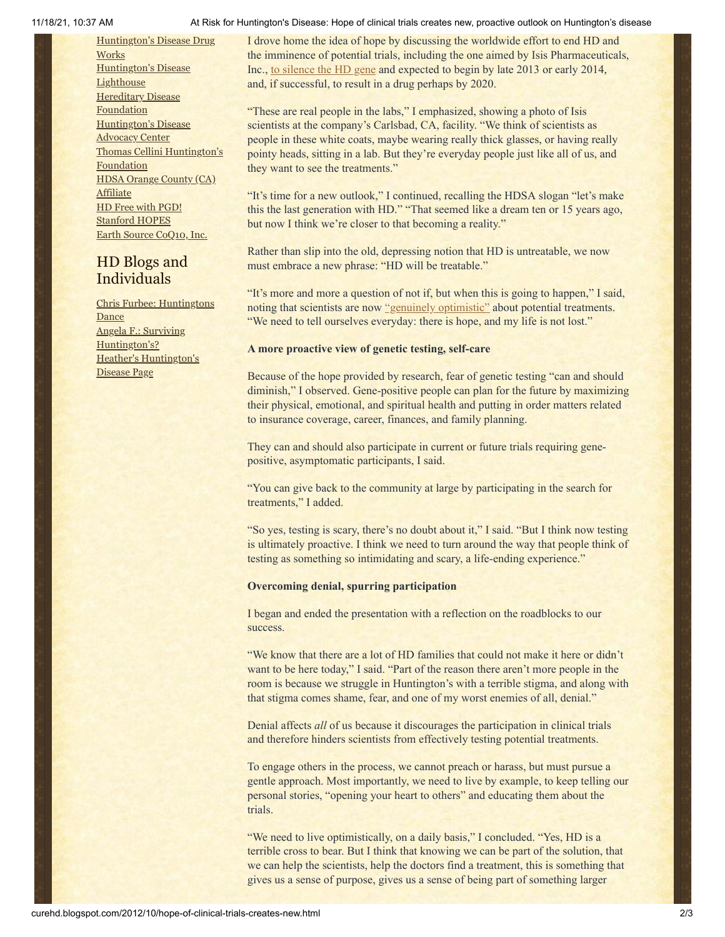[Huntington's](http://hddrugworks.org/) Disease Drug **Works** [Huntington's](http://www.hdlighthouse.org/) Disease **Lighthouse Hereditary Disease [Foundation](http://www.hdfoundation.org/)** [Huntington's](http://www.hdac.org/) Disease **Advocacy Center** Thomas [Cellini Huntington's](http://www.ourtchfoundation.org/) Foundation HDSA Orange County (CA) **[Affiliate](http://www.hdsaoc.org/)** HD Free with [PGD!](http://www.hdfreewithpgd.com/) [Stanford](http://www.stanford.edu/group/hopes/) HOPES Earth Source [CoQ10,](http://www.escoq10.com/) Inc.

# HD Blogs and Individuals

Chris Furbee: [Huntingtons](http://www.huntingtonsdance.org/) **Dance** Angela F.: Surviving [Huntington's?](http://survivinghuntingtons.blogspot.com/) Heather's [Huntington's](http://heatherdugdale.angelfire.com/) Disease Page

#### 11/18/21, 10:37 AM At Risk for Huntington's Disease: Hope of clinical trials creates new, proactive outlook on Huntington's disease

I drove home the idea of hope by discussing the worldwide effort to end HD and the imminence of potential trials, including the one aimed by Isis Pharmaceuticals, Inc., [to silence the HD gene](http://curehd.blogspot.com/2012/09/lifting-huntingtons-families-spirits.html) and expected to begin by late 2013 or early 2014, and, if successful, to result in a drug perhaps by 2020.

"These are real people in the labs," I emphasized, showing a photo of Isis scientists at the company's Carlsbad, CA, facility. "We think of scientists as people in these white coats, maybe wearing really thick glasses, or having really pointy heads, sitting in a lab. But they're everyday people just like all of us, and they want to see the treatments."

"It's time for a new outlook," I continued, recalling the HDSA slogan "let's make this the last generation with HD." "That seemed like a dream ten or 15 years ago, but now I think we're closer to that becoming a reality."

Rather than slip into the old, depressing notion that HD is untreatable, we now must embrace a new phrase: "HD will be treatable."

"It's more and more a question of not if, but when this is going to happen," I said, noting that scientists are now ["genuinely optimistic"](http://curehd.blogspot.com/2012/03/top-researcher-genuine-optimism-about.html) about potential treatments. "We need to tell ourselves everyday: there is hope, and my life is not lost."

#### **A more proactive view of genetic testing, self-care**

Because of the hope provided by research, fear of genetic testing "can and should diminish," I observed. Gene-positive people can plan for the future by maximizing their physical, emotional, and spiritual health and putting in order matters related to insurance coverage, career, finances, and family planning.

They can and should also participate in current or future trials requiring genepositive, asymptomatic participants, I said.

"You can give back to the community at large by participating in the search for treatments," I added.

"So yes, testing is scary, there's no doubt about it," I said. "But I think now testing is ultimately proactive. I think we need to turn around the way that people think of testing as something so intimidating and scary, a life-ending experience."

#### **Overcoming denial, spurring participation**

I began and ended the presentation with a reflection on the roadblocks to our success.

"We know that there are a lot of HD families that could not make it here or didn't want to be here today," I said. "Part of the reason there aren't more people in the room is because we struggle in Huntington's with a terrible stigma, and along with that stigma comes shame, fear, and one of my worst enemies of all, denial."

Denial affects *all* of us because it discourages the participation in clinical trials and therefore hinders scientists from effectively testing potential treatments.

To engage others in the process, we cannot preach or harass, but must pursue a gentle approach. Most importantly, we need to live by example, to keep telling our personal stories, "opening your heart to others" and educating them about the trials.

"We need to live optimistically, on a daily basis," I concluded. "Yes, HD is a terrible cross to bear. But I think that knowing we can be part of the solution, that we can help the scientists, help the doctors find a treatment, this is something that gives us a sense of purpose, gives us a sense of being part of something larger